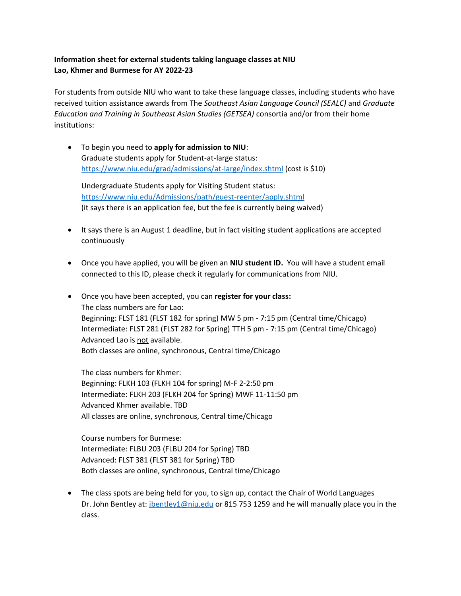## **Information sheet for external students taking language classes at NIU Lao, Khmer and Burmese for AY 2022-23**

For students from outside NIU who want to take these language classes, including students who have received tuition assistance awards from The *Southeast Asian Language Council (SEALC)* and *Graduate Education and Training in Southeast Asian Studies (GETSEA)* consortia and/or from their home institutions:

• To begin you need to **apply for admission to NIU**: Graduate students apply for Student-at-large status: <https://www.niu.edu/grad/admissions/at-large/index.shtml> (cost is \$10)

Undergraduate Students apply for Visiting Student status: <https://www.niu.edu/Admissions/path/guest-reenter/apply.shtml> (it says there is an application fee, but the fee is currently being waived)

- It says there is an August 1 deadline, but in fact visiting student applications are accepted continuously
- Once you have applied, you will be given an **NIU student ID.** You will have a student email connected to this ID, please check it regularly for communications from NIU.
- Once you have been accepted, you can **register for your class:** The class numbers are for Lao: Beginning: FLST 181 (FLST 182 for spring) MW 5 pm - 7:15 pm (Central time/Chicago) Intermediate: FLST 281 (FLST 282 for Spring) TTH 5 pm - 7:15 pm (Central time/Chicago) Advanced Lao is not available. Both classes are online, synchronous, Central time/Chicago

The class numbers for Khmer: Beginning: FLKH 103 (FLKH 104 for spring) M-F 2-2:50 pm Intermediate: FLKH 203 (FLKH 204 for Spring) MWF 11-11:50 pm Advanced Khmer available. TBD All classes are online, synchronous, Central time/Chicago

Course numbers for Burmese: Intermediate: FLBU 203 (FLBU 204 for Spring) TBD Advanced: FLST 381 (FLST 381 for Spring) TBD Both classes are online, synchronous, Central time/Chicago

• The class spots are being held for you, to sign up, contact the Chair of World Languages Dr. John Bentley at: [jbentley1@niu.edu](mailto:jbentley1@niu.edu) or 815 753 1259 and he will manually place you in the class.